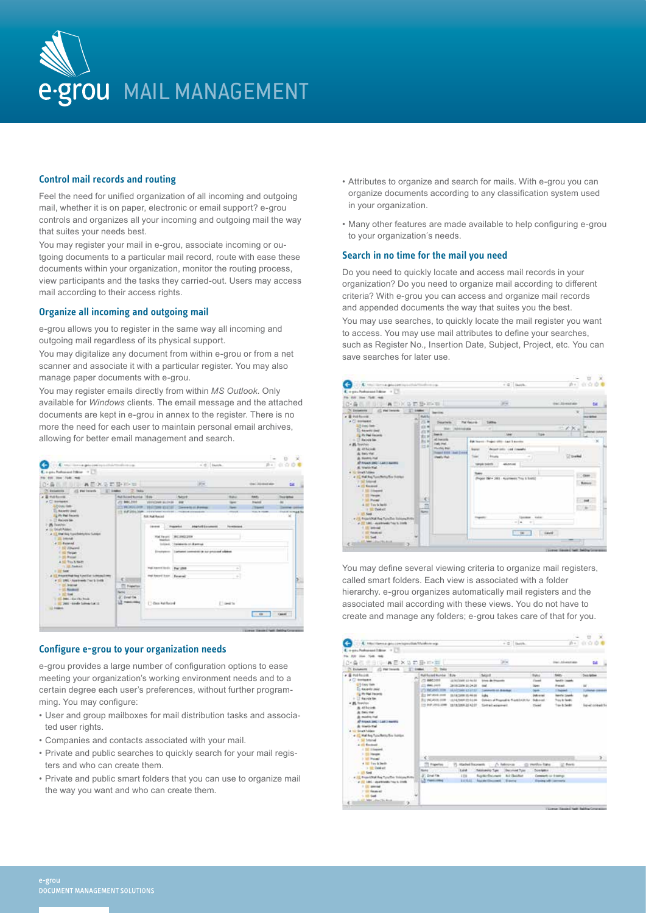

# **Control mail records and routing**

Feel the need for unified organization of all incoming and outgoing mail, whether it is on paper, electronic or email support? e-grou controls and organizes all your incoming and outgoing mail the way that suites your needs best.

You may register your mail in e-grou, associate incoming or outgoing documents to a particular mail record, route with ease these documents within your organization, monitor the routing process, view participants and the tasks they carried-out. Users may access mail according to their access rights.

### **Organize all incoming and outgoing mail**

e-grou allows you to register in the same way all incoming and outgoing mail regardless of its physical support.

You may digitalize any document from within e-grou or from a net scanner and associate it with a particular register. You may also manage paper documents with e-grou.

You may register emails directly from within *MS Outlook*. Only available for *Windows* clients. The email message and the attached documents are kept in e-grou in annex to the register. There is no more the need for each user to maintain personal email archives, allowing for better email management and search.



### **Configure e-grou to your organization needs**

e-grou provides a large number of configuration options to ease meeting your organization's working environment needs and to a certain degree each user's preferences, without further programming. You may configure:

- User and group mailboxes for mail distribution tasks and associated user rights.
- Companies and contacts associated with your mail.
- Private and public searches to quickly search for your mail registers and who can create them.
- Private and public smart folders that you can use to organize mail the way you want and who can create them.
- Attributes to organize and search for mails. With e-grou you can organize documents according to any classification system used in your organization.
- Many other features are made available to help configuring e-grou to your organization´s needs.

### **Search in no time for the mail you need**

save searches for later use.

Do you need to quickly locate and access mail records in your organization? Do you need to organize mail according to different criteria? With e-grou you can access and organize mail records and appended documents the way that suites you the best. You may use searches, to quickly locate the mail register you want to access. You may use mail attributes to define your searches, such as Register No., Insertion Date, Subject, Project, etc. You can



You may define several viewing criteria to organize mail registers, called smart folders. Each view is associated with a folder hierarchy. e-grou organizes automatically mail registers and the associated mail according with these views. You do not have to create and manage any folders; e-grou takes care of that for you.